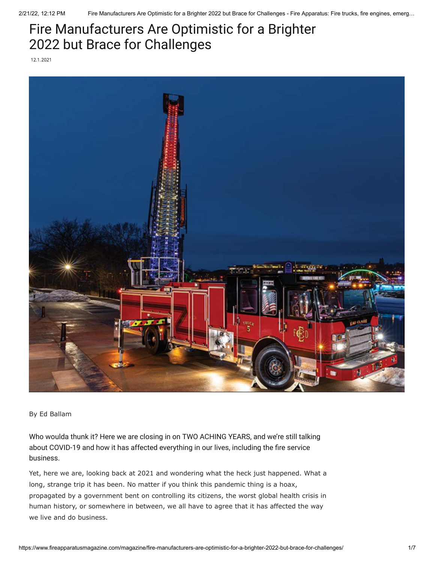## Fire Manufacturers Are Optimistic for a Brighter 2022 but Brace for Challenges

12.1.2021



By Ed Ballam

Who woulda thunk it? Here we are closing in on TWO ACHING YEARS, and we're still talking about [COVID-19](https://www.fireapparatusmagazine.com/magazine/responders-get-ready-for-crazy-big-events/) and how it has affected everything in our lives, including the fire service business.

Yet, here we are, looking back at 2021 and wondering what the heck just happened. What a long, strange trip it has been. No matter if you think this pandemic thing is a hoax, propagated by a government bent on controlling its citizens, the worst global health crisis in human history, or somewhere in between, we all have to agree that it has affected the way we live and do business.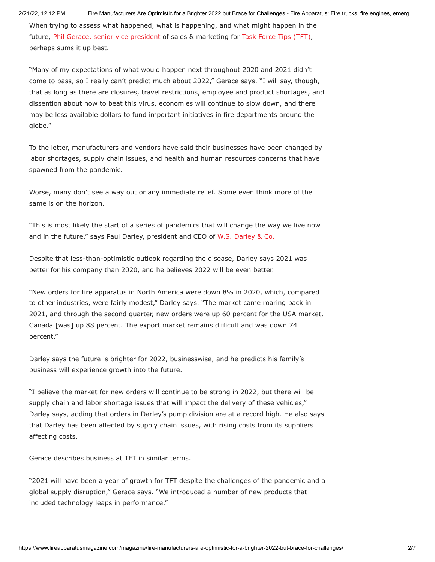When trying to assess what happened, what is happening, and what might happen in the future, [Phil Gerace, senior vice president](https://www.fireapparatusmagazine.com/equipment/tft-phil-gerace/) of sales & marketing for [Task Force Tips \(TFT\),](https://www.fireapparatusmagazine.com/tag/tft/) perhaps sums it up best.

"Many of my expectations of what would happen next throughout 2020 and 2021 didn't come to pass, so I really can't predict much about 2022," Gerace says. "I will say, though, that as long as there are closures, travel restrictions, employee and product shortages, and dissention about how to beat this virus, economies will continue to slow down, and there may be less available dollars to fund important initiatives in fire departments around the globe."

To the letter, manufacturers and vendors have said their businesses have been changed by labor shortages, supply chain issues, and health and human resources concerns that have spawned from the pandemic.

Worse, many don't see a way out or any immediate relief. Some even think more of the same is on the horizon.

"This is most likely the start of a series of pandemics that will change the way we live now and in the future," says Paul Darley, president and CEO of [W.S. Darley & Co.](https://www.fireapparatusmagazine.com/fire-apparatus/united-safety-acquires-fireboy-xintex-from-w-s-darley-co/)

Despite that less-than-optimistic outlook regarding the disease, Darley says 2021 was better for his company than 2020, and he believes 2022 will be even better.

"New orders for fire apparatus in North America were down 8% in 2020, which, compared to other industries, were fairly modest," Darley says. "The market came roaring back in 2021, and through the second quarter, new orders were up 60 percent for the USA market, Canada [was] up 88 percent. The export market remains difficult and was down 74 percent."

Darley says the future is brighter for 2022, businesswise, and he predicts his family's business will experience growth into the future.

"I believe the market for new orders will continue to be strong in 2022, but there will be supply chain and labor shortage issues that will impact the delivery of these vehicles," Darley says, adding that orders in Darley's pump division are at a record high. He also says that Darley has been affected by supply chain issues, with rising costs from its suppliers affecting costs.

Gerace describes business at TFT in similar terms.

"2021 will have been a year of growth for TFT despite the challenges of the pandemic and a global supply disruption," Gerace says. "We introduced a number of new products that included technology leaps in performance."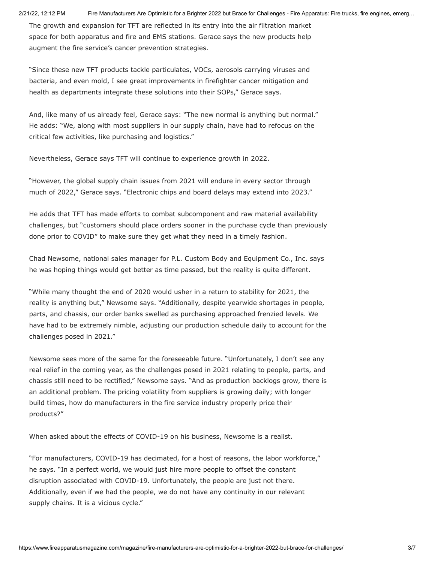The growth and expansion for TFT are reflected in its entry into the air filtration market space for both apparatus and fire and EMS stations. Gerace says the new products help augment the fire service's cancer prevention strategies.

"Since these new TFT products tackle particulates, VOCs, aerosols carrying viruses and bacteria, and even mold, I see great improvements in firefighter cancer mitigation and health as departments integrate these solutions into their SOPs," Gerace says.

And, like many of us already feel, Gerace says: "The new normal is anything but normal." He adds: "We, along with most suppliers in our supply chain, have had to refocus on the critical few activities, like purchasing and logistics."

Nevertheless, Gerace says TFT will continue to experience growth in 2022.

"However, the global supply chain issues from 2021 will endure in every sector through much of 2022," Gerace says. "Electronic chips and board delays may extend into 2023."

He adds that TFT has made efforts to combat subcomponent and raw material availability challenges, but "customers should place orders sooner in the purchase cycle than previously done prior to COVID" to make sure they get what they need in a timely fashion.

Chad Newsome, national sales manager for P.L. Custom Body and Equipment Co., Inc. says he was hoping things would get better as time passed, but the reality is quite different.

"While many thought the end of 2020 would usher in a return to stability for 2021, the reality is anything but," Newsome says. "Additionally, despite yearwide shortages in people, parts, and chassis, our order banks swelled as purchasing approached frenzied levels. We have had to be extremely nimble, adjusting our production schedule daily to account for the challenges posed in 2021."

Newsome sees more of the same for the foreseeable future. "Unfortunately, I don't see any real relief in the coming year, as the challenges posed in 2021 relating to people, parts, and chassis still need to be rectified," Newsome says. "And as production backlogs grow, there is an additional problem. The pricing volatility from suppliers is growing daily; with longer build times, how do manufacturers in the fire service industry properly price their products?"

When asked about the effects of COVID-19 on his business, Newsome is a realist.

"For manufacturers, COVID-19 has decimated, for a host of reasons, the labor workforce," he says. "In a perfect world, we would just hire more people to offset the constant disruption associated with COVID-19. Unfortunately, the people are just not there. Additionally, even if we had the people, we do not have any continuity in our relevant supply chains. It is a vicious cycle."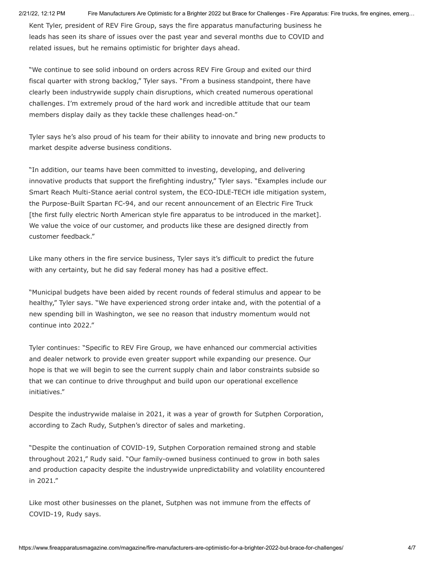Kent Tyler, president of REV Fire Group, says the fire apparatus manufacturing business he leads has seen its share of issues over the past year and several months due to COVID and related issues, but he remains optimistic for brighter days ahead.

"We continue to see solid inbound on orders across REV Fire Group and exited our third fiscal quarter with strong backlog," Tyler says. "From a business standpoint, there have clearly been industrywide supply chain disruptions, which created numerous operational challenges. I'm extremely proud of the hard work and incredible attitude that our team members display daily as they tackle these challenges head-on."

Tyler says he's also proud of his team for their ability to innovate and bring new products to market despite adverse business conditions.

"In addition, our teams have been committed to investing, developing, and delivering innovative products that support the firefighting industry," Tyler says. "Examples include our Smart Reach Multi-Stance aerial control system, the ECO-IDLE-TECH idle mitigation system, the Purpose-Built Spartan FC-94, and our recent announcement of an Electric Fire Truck [the first fully electric North American style fire apparatus to be introduced in the market]. We value the voice of our customer, and products like these are designed directly from customer feedback."

Like many others in the fire service business, Tyler says it's difficult to predict the future with any certainty, but he did say federal money has had a positive effect.

"Municipal budgets have been aided by recent rounds of federal stimulus and appear to be healthy," Tyler says. "We have experienced strong order intake and, with the potential of a new spending bill in Washington, we see no reason that industry momentum would not continue into 2022."

Tyler continues: "Specific to REV Fire Group, we have enhanced our commercial activities and dealer network to provide even greater support while expanding our presence. Our hope is that we will begin to see the current supply chain and labor constraints subside so that we can continue to drive throughput and build upon our operational excellence initiatives."

Despite the industrywide malaise in 2021, it was a year of growth for Sutphen Corporation, according to Zach Rudy, Sutphen's director of sales and marketing.

"Despite the continuation of COVID-19, Sutphen Corporation remained strong and stable throughout 2021," Rudy said. "Our family-owned business continued to grow in both sales and production capacity despite the industrywide unpredictability and volatility encountered in 2021."

Like most other businesses on the planet, Sutphen was not immune from the effects of COVID-19, Rudy says.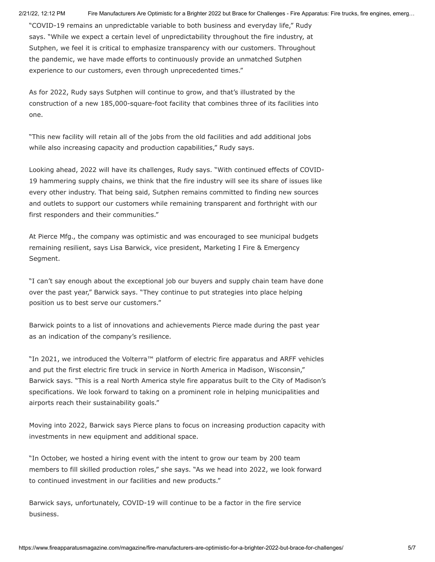"COVID-19 remains an unpredictable variable to both business and everyday life," Rudy says. "While we expect a certain level of unpredictability throughout the fire industry, at Sutphen, we feel it is critical to emphasize transparency with our customers. Throughout the pandemic, we have made efforts to continuously provide an unmatched Sutphen experience to our customers, even through unprecedented times."

As for 2022, Rudy says Sutphen will continue to grow, and that's illustrated by the construction of a new 185,000-square-foot facility that combines three of its facilities into one.

"This new facility will retain all of the jobs from the old facilities and add additional jobs while also increasing capacity and production capabilities," Rudy says.

Looking ahead, 2022 will have its challenges, Rudy says. "With continued effects of COVID-19 hammering supply chains, we think that the fire industry will see its share of issues like every other industry. That being said, Sutphen remains committed to finding new sources and outlets to support our customers while remaining transparent and forthright with our first responders and their communities."

At Pierce Mfg., the company was optimistic and was encouraged to see municipal budgets remaining resilient, says Lisa Barwick, vice president, Marketing I Fire & Emergency Segment.

"I can't say enough about the exceptional job our buyers and supply chain team have done over the past year," Barwick says. "They continue to put strategies into place helping position us to best serve our customers."

Barwick points to a list of innovations and achievements Pierce made during the past year as an indication of the company's resilience.

"In 2021, we introduced the Volterra™ platform of electric fire apparatus and ARFF vehicles and put the first electric fire truck in service in North America in Madison, Wisconsin," Barwick says. "This is a real North America style fire apparatus built to the City of Madison's specifications. We look forward to taking on a prominent role in helping municipalities and airports reach their sustainability goals."

Moving into 2022, Barwick says Pierce plans to focus on increasing production capacity with investments in new equipment and additional space.

"In October, we hosted a hiring event with the intent to grow our team by 200 team members to fill skilled production roles," she says. "As we head into 2022, we look forward to continued investment in our facilities and new products."

Barwick says, unfortunately, COVID-19 will continue to be a factor in the fire service business.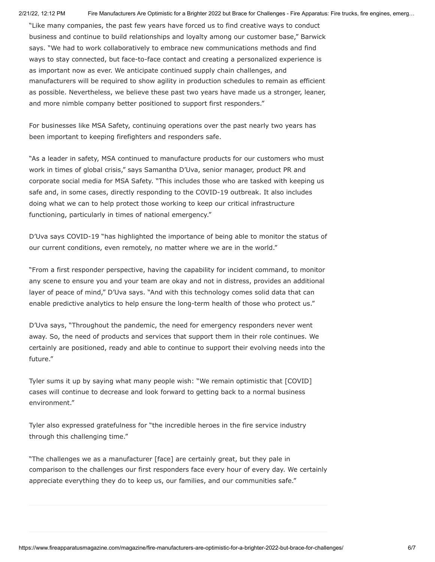"Like many companies, the past few years have forced us to find creative ways to conduct business and continue to build relationships and loyalty among our customer base," Barwick says. "We had to work collaboratively to embrace new communications methods and find ways to stay connected, but face-to-face contact and creating a personalized experience is as important now as ever. We anticipate continued supply chain challenges, and manufacturers will be required to show agility in production schedules to remain as efficient as possible. Nevertheless, we believe these past two years have made us a stronger, leaner, and more nimble company better positioned to support first responders."

For businesses like MSA Safety, continuing operations over the past nearly two years has been important to keeping firefighters and responders safe.

"As a leader in safety, MSA continued to manufacture products for our customers who must work in times of global crisis," says Samantha D'Uva, senior manager, product PR and corporate social media for MSA Safety. "This includes those who are tasked with keeping us safe and, in some cases, directly responding to the COVID-19 outbreak. It also includes doing what we can to help protect those working to keep our critical infrastructure functioning, particularly in times of national emergency."

D'Uva says COVID-19 "has highlighted the importance of being able to monitor the status of our current conditions, even remotely, no matter where we are in the world."

"From a first responder perspective, having the capability for incident command, to monitor any scene to ensure you and your team are okay and not in distress, provides an additional layer of peace of mind," D'Uva says. "And with this technology comes solid data that can enable predictive analytics to help ensure the long-term health of those who protect us."

D'Uva says, "Throughout the pandemic, the need for emergency responders never went away. So, the need of products and services that support them in their role continues. We certainly are positioned, ready and able to continue to support their evolving needs into the future."

Tyler sums it up by saying what many people wish: "We remain optimistic that [COVID] cases will continue to decrease and look forward to getting back to a normal business environment."

Tyler also expressed gratefulness for "the incredible heroes in the fire service industry through this challenging time."

"The challenges we as a manufacturer [face] are certainly great, but they pale in comparison to the challenges our first responders face every hour of every day. We certainly appreciate everything they do to keep us, our families, and our communities safe."